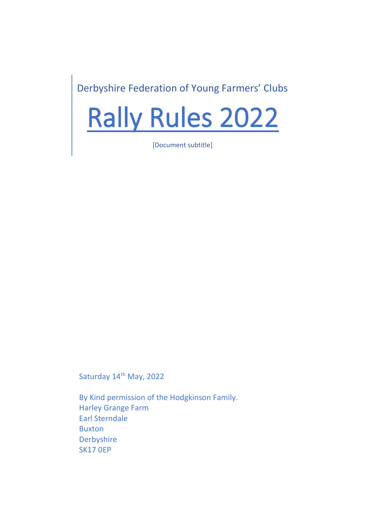# Derbyshire Federation of Young Farmers' Clubs

# Rally Rules 2022

[Document subtitle]

Saturday 14<sup>th</sup> May, 2022

By Kind permission of the Hodgkinson Family. Harley Grange Farm Earl Sterndale Buxton Derbyshire SK17 0EP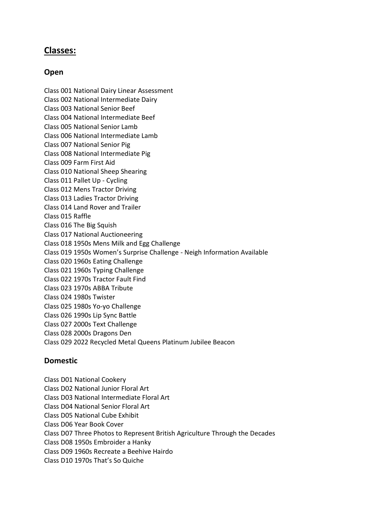# **Classes:**

# **Open**

Class 001 National Dairy Linear Assessment Class 002 National Intermediate Dairy Class 003 National Senior Beef Class 004 National Intermediate Beef Class 005 National Senior Lamb Class 006 National Intermediate Lamb Class 007 National Senior Pig Class 008 National Intermediate Pig Class 009 Farm First Aid Class 010 National Sheep Shearing Class 011 Pallet Up - Cycling Class 012 Mens Tractor Driving Class 013 Ladies Tractor Driving Class 014 Land Rover and Trailer Class 015 Raffle Class 016 The Big Squish Class 017 National Auctioneering Class 018 1950s Mens Milk and Egg Challenge Class 019 1950s Women's Surprise Challenge - Neigh Information Available Class 020 1960s Eating Challenge Class 021 1960s Typing Challenge Class 022 1970s Tractor Fault Find Class 023 1970s ABBA Tribute Class 024 1980s Twister Class 025 1980s Yo-yo Challenge Class 026 1990s Lip Sync Battle Class 027 2000s Text Challenge Class 028 2000s Dragons Den Class 029 2022 Recycled Metal Queens Platinum Jubilee Beacon

# **Domestic**

Class D01 National Cookery Class D02 National Junior Floral Art Class D03 National Intermediate Floral Art Class D04 National Senior Floral Art Class D05 National Cube Exhibit Class D06 Year Book Cover Class D07 Three Photos to Represent British Agriculture Through the Decades Class D08 1950s Embroider a Hanky Class D09 1960s Recreate a Beehive Hairdo Class D10 1970s That's So Quiche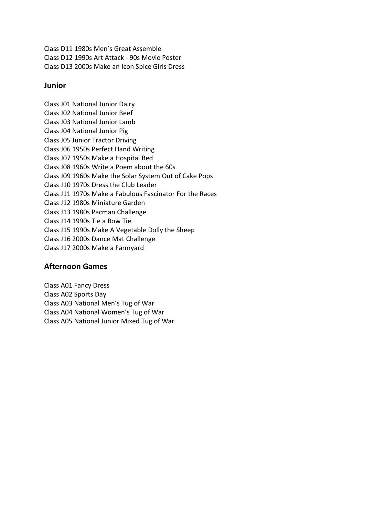Class D11 1980s Men's Great Assemble Class D12 1990s Art Attack - 90s Movie Poster Class D13 2000s Make an Icon Spice Girls Dress

#### **Junior**

Class J01 National Junior Dairy Class J02 National Junior Beef Class J03 National Junior Lamb Class J04 National Junior Pig Class J05 Junior Tractor Driving Class J06 1950s Perfect Hand Writing Class J07 1950s Make a Hospital Bed Class J08 1960s Write a Poem about the 60s Class J09 1960s Make the Solar System Out of Cake Pops Class J10 1970s Dress the Club Leader Class J11 1970s Make a Fabulous Fascinator For the Races Class J12 1980s Miniature Garden Class J13 1980s Pacman Challenge Class J14 1990s Tie a Bow Tie Class J15 1990s Make A Vegetable Dolly the Sheep Class J16 2000s Dance Mat Challenge Class J17 2000s Make a Farmyard

#### **Afternoon Games**

Class A01 Fancy Dress Class A02 Sports Day Class A03 National Men's Tug of War Class A04 National Women's Tug of War Class A05 National Junior Mixed Tug of War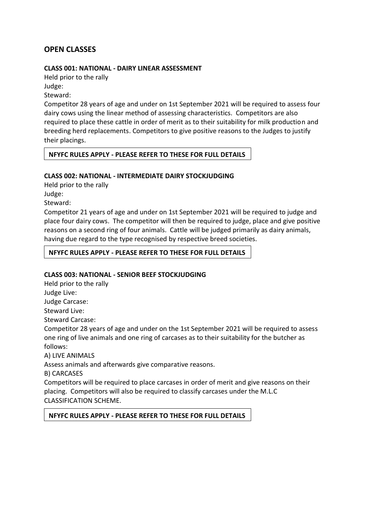# **OPEN CLASSES**

#### **CLASS 001: NATIONAL - DAIRY LINEAR ASSESSMENT**

Held prior to the rally Judge:

Steward:

Competitor 28 years of age and under on 1st September 2021 will be required to assess four dairy cows using the linear method of assessing characteristics. Competitors are also required to place these cattle in order of merit as to their suitability for milk production and breeding herd replacements. Competitors to give positive reasons to the Judges to justify their placings.

#### **NFYFC RULES APPLY - PLEASE REFER TO THESE FOR FULL DETAILS**

#### **CLASS 002: NATIONAL - INTERMEDIATE DAIRY STOCKJUDGING**

Held prior to the rally Judge:

Steward:

Competitor 21 years of age and under on 1st September 2021 will be required to judge and place four dairy cows. The competitor will then be required to judge, place and give positive reasons on a second ring of four animals. Cattle will be judged primarily as dairy animals, having due regard to the type recognised by respective breed societies.

#### **NFYFC RULES APPLY - PLEASE REFER TO THESE FOR FULL DETAILS**

#### **CLASS 003: NATIONAL - SENIOR BEEF STOCKJUDGING**

Held prior to the rally Judge Live: Judge Carcase: Steward Live:

Steward Carcase:

Competitor 28 years of age and under on the 1st September 2021 will be required to assess one ring of live animals and one ring of carcases as to their suitability for the butcher as follows:

A) LIVE ANIMALS

Assess animals and afterwards give comparative reasons.

B) CARCASES

Competitors will be required to place carcases in order of merit and give reasons on their placing. Competitors will also be required to classify carcases under the M.L.C CLASSIFICATION SCHEME.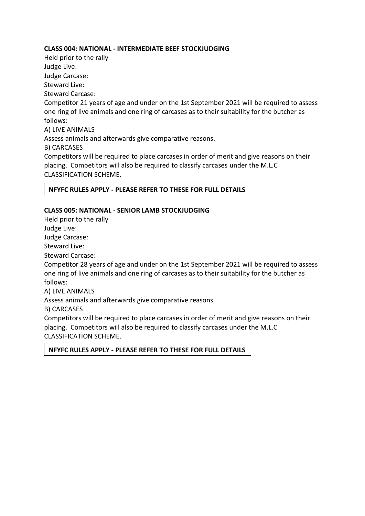#### **CLASS 004: NATIONAL - INTERMEDIATE BEEF STOCKJUDGING**

Held prior to the rally Judge Live: Judge Carcase: Steward Live: Steward Carcase: Competitor 21 years of age and under on the 1st September 2021 will be required to assess one ring of live animals and one ring of carcases as to their suitability for the butcher as follows: A) LIVE ANIMALS Assess animals and afterwards give comparative reasons. B) CARCASES Competitors will be required to place carcases in order of merit and give reasons on their placing. Competitors will also be required to classify carcases under the M.L.C CLASSIFICATION SCHEME.

#### **NFYFC RULES APPLY - PLEASE REFER TO THESE FOR FULL DETAILS**

#### **CLASS 005: NATIONAL - SENIOR LAMB STOCKJUDGING**

Held prior to the rally Judge Live: Judge Carcase: Steward Live: Steward Carcase:

Competitor 28 years of age and under on the 1st September 2021 will be required to assess one ring of live animals and one ring of carcases as to their suitability for the butcher as follows:

A) LIVE ANIMALS

Assess animals and afterwards give comparative reasons.

B) CARCASES

Competitors will be required to place carcases in order of merit and give reasons on their placing. Competitors will also be required to classify carcases under the M.L.C CLASSIFICATION SCHEME.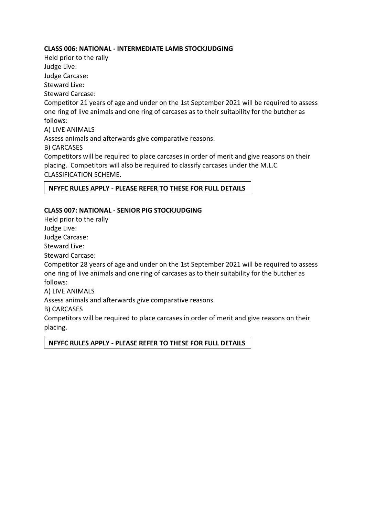#### **CLASS 006: NATIONAL - INTERMEDIATE LAMB STOCKJUDGING**

Held prior to the rally Judge Live: Judge Carcase: Steward Live: Steward Carcase: Competitor 21 years of age and under on the 1st September 2021 will be required to assess one ring of live animals and one ring of carcases as to their suitability for the butcher as follows: A) LIVE ANIMALS Assess animals and afterwards give comparative reasons. B) CARCASES Competitors will be required to place carcases in order of merit and give reasons on their placing. Competitors will also be required to classify carcases under the M.L.C CLASSIFICATION SCHEME.

#### **NFYFC RULES APPLY - PLEASE REFER TO THESE FOR FULL DETAILS**

#### **CLASS 007: NATIONAL - SENIOR PIG STOCKJUDGING**

Held prior to the rally Judge Live: Judge Carcase: Steward Live: Steward Carcase:

Competitor 28 years of age and under on the 1st September 2021 will be required to assess one ring of live animals and one ring of carcases as to their suitability for the butcher as follows:

A) LIVE ANIMALS

Assess animals and afterwards give comparative reasons.

B) CARCASES

Competitors will be required to place carcases in order of merit and give reasons on their placing.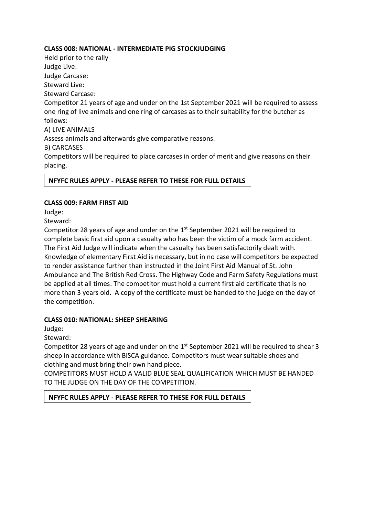#### **CLASS 008: NATIONAL - INTERMEDIATE PIG STOCKJUDGING**

Held prior to the rally Judge Live: Judge Carcase: Steward Live: Steward Carcase: Competitor 21 years of age and under on the 1st September 2021 will be required to assess one ring of live animals and one ring of carcases as to their suitability for the butcher as follows: A) LIVE ANIMALS Assess animals and afterwards give comparative reasons. B) CARCASES Competitors will be required to place carcases in order of merit and give reasons on their placing.

# **NFYFC RULES APPLY - PLEASE REFER TO THESE FOR FULL DETAILS**

#### **CLASS 009: FARM FIRST AID**

Judge:

Steward:

Competitor 28 years of age and under on the  $1<sup>st</sup>$  September 2021 will be required to complete basic first aid upon a casualty who has been the victim of a mock farm accident. The First Aid Judge will indicate when the casualty has been satisfactorily dealt with. Knowledge of elementary First Aid is necessary, but in no case will competitors be expected to render assistance further than instructed in the Joint First Aid Manual of St. John Ambulance and The British Red Cross. The Highway Code and Farm Safety Regulations must be applied at all times. The competitor must hold a current first aid certificate that is no more than 3 years old. A copy of the certificate must be handed to the judge on the day of the competition.

#### **CLASS 010: NATIONAL: SHEEP SHEARING**

Judge:

Steward:

Competitor 28 years of age and under on the 1<sup>st</sup> September 2021 will be required to shear 3 sheep in accordance with BISCA guidance. Competitors must wear suitable shoes and clothing and must bring their own hand piece.

COMPETITORS MUST HOLD A VALID BLUE SEAL QUALIFICATION WHICH MUST BE HANDED TO THE JUDGE ON THE DAY OF THE COMPETITION.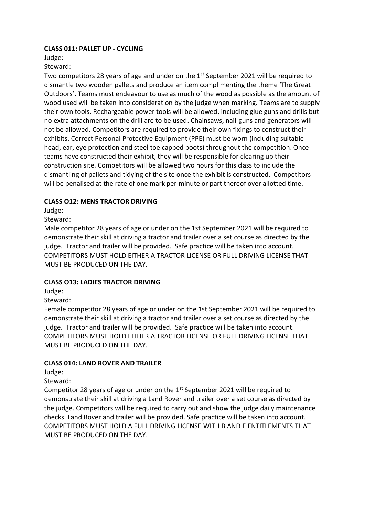#### **CLASS 011: PALLET UP - CYCLING**

Judge:

#### Steward:

Two competitors 28 years of age and under on the 1<sup>st</sup> September 2021 will be required to dismantle two wooden pallets and produce an item complimenting the theme 'The Great Outdoors'. Teams must endeavour to use as much of the wood as possible as the amount of wood used will be taken into consideration by the judge when marking. Teams are to supply their own tools. Rechargeable power tools will be allowed, including glue guns and drills but no extra attachments on the drill are to be used. Chainsaws, nail-guns and generators will not be allowed. Competitors are required to provide their own fixings to construct their exhibits. Correct Personal Protective Equipment (PPE) must be worn (including suitable head, ear, eye protection and steel toe capped boots) throughout the competition. Once teams have constructed their exhibit, they will be responsible for clearing up their construction site. Competitors will be allowed two hours for this class to include the dismantling of pallets and tidying of the site once the exhibit is constructed. Competitors will be penalised at the rate of one mark per minute or part thereof over allotted time.

#### **CLASS O12: MENS TRACTOR DRIVING**

Judge:

Steward:

Male competitor 28 years of age or under on the 1st September 2021 will be required to demonstrate their skill at driving a tractor and trailer over a set course as directed by the judge. Tractor and trailer will be provided. Safe practice will be taken into account. COMPETITORS MUST HOLD EITHER A TRACTOR LICENSE OR FULL DRIVING LICENSE THAT MUST BE PRODUCED ON THE DAY.

#### **CLASS O13: LADIES TRACTOR DRIVING**

Judge:

Steward:

Female competitor 28 years of age or under on the 1st September 2021 will be required to demonstrate their skill at driving a tractor and trailer over a set course as directed by the judge. Tractor and trailer will be provided. Safe practice will be taken into account. COMPETITORS MUST HOLD EITHER A TRACTOR LICENSE OR FULL DRIVING LICENSE THAT MUST BE PRODUCED ON THE DAY.

#### **CLASS 014: LAND ROVER AND TRAILER**

Judge:

Steward:

Competitor 28 years of age or under on the 1st September 2021 will be required to demonstrate their skill at driving a Land Rover and trailer over a set course as directed by the judge. Competitors will be required to carry out and show the judge daily maintenance checks. Land Rover and trailer will be provided. Safe practice will be taken into account. COMPETITORS MUST HOLD A FULL DRIVING LICENSE WITH B AND E ENTITLEMENTS THAT MUST BE PRODUCED ON THE DAY.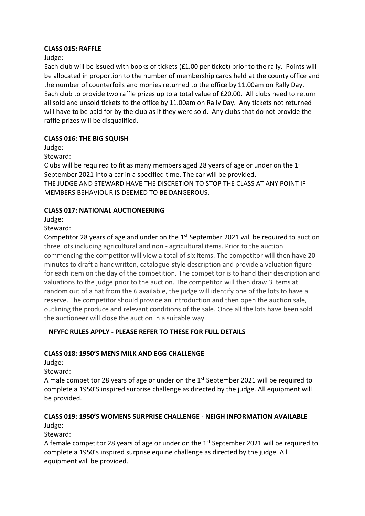#### **CLASS 015: RAFFLE**

Judge:

Each club will be issued with books of tickets (£1.00 per ticket) prior to the rally. Points will be allocated in proportion to the number of membership cards held at the county office and the number of counterfoils and monies returned to the office by 11.00am on Rally Day. Each club to provide two raffle prizes up to a total value of £20.00. All clubs need to return all sold and unsold tickets to the office by 11.00am on Rally Day. Any tickets not returned will have to be paid for by the club as if they were sold. Any clubs that do not provide the raffle prizes will be disqualified.

#### **CLASS 016: THE BIG SQUISH**

Judge:

Steward:

Clubs will be required to fit as many members aged 28 years of age or under on the 1st September 2021 into a car in a specified time. The car will be provided.

THE JUDGE AND STEWARD HAVE THE DISCRETION TO STOP THE CLASS AT ANY POINT IF MEMBERS BEHAVIOUR IS DEEMED TO BE DANGEROUS.

#### **CLASS 017: NATIONAL AUCTIONEERING**

Judge:

Steward:

Competitor 28 years of age and under on the 1<sup>st</sup> September 2021 will be required to auction three lots including agricultural and non - agricultural items. Prior to the auction commencing the competitor will view a total of six items. The competitor will then have 20 minutes to draft a handwritten, catalogue-style description and provide a valuation figure for each item on the day of the competition. The competitor is to hand their description and valuations to the judge prior to the auction. The competitor will then draw 3 items at random out of a hat from the 6 available, the judge will identify one of the lots to have a reserve. The competitor should provide an introduction and then open the auction sale, outlining the produce and relevant conditions of the sale. Once all the lots have been sold the auctioneer will close the auction in a suitable way.

# **NFYFC RULES APPLY - PLEASE REFER TO THESE FOR FULL DETAILS**

#### **CLASS 018: 1950'S MENS MILK AND EGG CHALLENGE**

Judge:

Steward:

A male competitor 28 years of age or under on the  $1<sup>st</sup>$  September 2021 will be required to complete a 1950'S inspired surprise challenge as directed by the judge. All equipment will be provided.

# **CLASS 019: 1950'S WOMENS SURPRISE CHALLENGE - NEIGH INFORMATION AVAILABLE**

Judge:

Steward:

A female competitor 28 years of age or under on the  $1<sup>st</sup>$  September 2021 will be required to complete a 1950's inspired surprise equine challenge as directed by the judge. All equipment will be provided.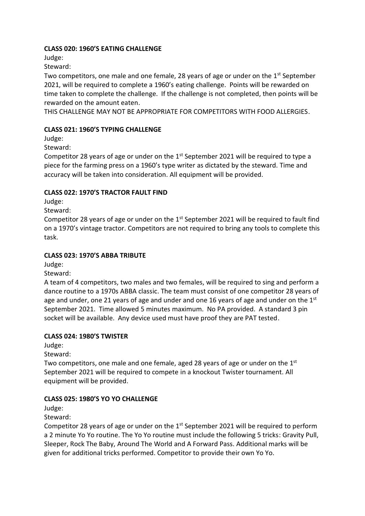#### **CLASS 020: 1960'S EATING CHALLENGE**

Judge:

Steward:

Two competitors, one male and one female, 28 years of age or under on the  $1<sup>st</sup>$  September 2021, will be required to complete a 1960's eating challenge. Points will be rewarded on time taken to complete the challenge. If the challenge is not completed, then points will be rewarded on the amount eaten.

THIS CHALLENGE MAY NOT BE APPROPRIATE FOR COMPETITORS WITH FOOD ALLERGIES.

#### **CLASS 021: 1960'S TYPING CHALLENGE**

Judge:

Steward:

Competitor 28 years of age or under on the  $1<sup>st</sup>$  September 2021 will be required to type a piece for the farming press on a 1960's type writer as dictated by the steward. Time and accuracy will be taken into consideration. All equipment will be provided.

#### **CLASS 022: 1970'S TRACTOR FAULT FIND**

Judge:

Steward:

Competitor 28 years of age or under on the 1st September 2021 will be required to fault find on a 1970's vintage tractor. Competitors are not required to bring any tools to complete this task.

#### **CLASS 023: 1970'S ABBA TRIBUTE**

Judge:

Steward:

A team of 4 competitors, two males and two females, will be required to sing and perform a dance routine to a 1970s ABBA classic. The team must consist of one competitor 28 years of age and under, one 21 years of age and under and one 16 years of age and under on the  $1<sup>st</sup>$ September 2021. Time allowed 5 minutes maximum. No PA provided. A standard 3 pin socket will be available. Any device used must have proof they are PAT tested.

#### **CLASS 024: 1980'S TWISTER**

Judge:

Steward:

Two competitors, one male and one female, aged 28 years of age or under on the  $1<sup>st</sup>$ September 2021 will be required to compete in a knockout Twister tournament. All equipment will be provided.

#### **CLASS 025: 1980'S YO YO CHALLENGE**

Judge:

Steward:

Competitor 28 years of age or under on the  $1<sup>st</sup>$  September 2021 will be required to perform a 2 minute Yo Yo routine. The Yo Yo routine must include the following 5 tricks: Gravity Pull, Sleeper, Rock The Baby, Around The World and A Forward Pass. Additional marks will be given for additional tricks performed. Competitor to provide their own Yo Yo.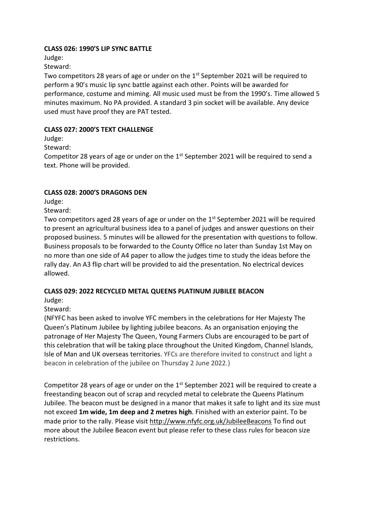#### **CLASS 026: 1990'S LIP SYNC BATTLE**

Judge:

Steward:

Two competitors 28 years of age or under on the  $1<sup>st</sup>$  September 2021 will be required to perform a 90's music lip sync battle against each other. Points will be awarded for performance, costume and miming. All music used must be from the 1990's. Time allowed 5 minutes maximum. No PA provided. A standard 3 pin socket will be available. Any device used must have proof they are PAT tested.

#### **CLASS 027: 2000'S TEXT CHALLENGE**

Judge:

Steward:

Competitor 28 years of age or under on the 1<sup>st</sup> September 2021 will be required to send a text. Phone will be provided.

#### **CLASS 028: 2000'S DRAGONS DEN**

Judge:

Steward:

Two competitors aged 28 years of age or under on the 1<sup>st</sup> September 2021 will be required to present an agricultural business idea to a panel of judges and answer questions on their proposed business. 5 minutes will be allowed for the presentation with questions to follow. Business proposals to be forwarded to the County Office no later than Sunday 1st May on no more than one side of A4 paper to allow the judges time to study the ideas before the rally day. An A3 flip chart will be provided to aid the presentation. No electrical devices allowed.

#### **CLASS 029: 2022 RECYCLED METAL QUEENS PLATINUM JUBILEE BEACON**

Judge:

Steward:

(NFYFC has been asked to involve YFC members in the celebrations for Her Majesty The Queen's Platinum Jubilee by lighting jubilee beacons. As an organisation enjoying the patronage of Her Majesty The Queen, Young Farmers Clubs are encouraged to be part of this celebration that will be taking place throughout the United Kingdom, Channel Islands, Isle of Man and UK overseas territories. YFCs are therefore invited to construct and light a beacon in celebration of the jubilee on Thursday 2 June 2022.)

Competitor 28 years of age or under on the 1<sup>st</sup> September 2021 will be required to create a freestanding beacon out of scrap and recycled metal to celebrate the Queens Platinum Jubilee. The beacon must be designed in a manor that makes it safe to light and its size must not exceed **1m wide, 1m deep and 2 metres high**. Finished with an exterior paint. To be made prior to the rally. Please visit<http://www.nfyfc.org.uk/JubileeBeacons> To find out more about the Jubilee Beacon event but please refer to these class rules for beacon size restrictions.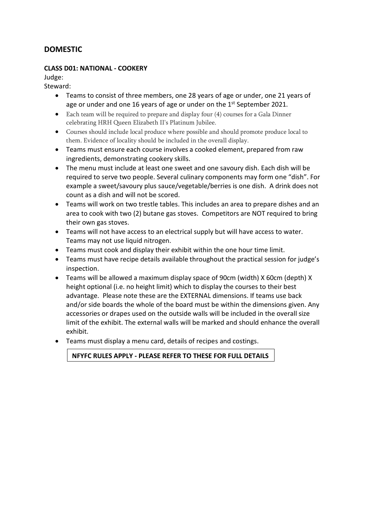# **DOMESTIC**

#### **CLASS D01: NATIONAL - COOKERY**

#### Judge:

Steward:

- Teams to consist of three members, one 28 years of age or under, one 21 years of age or under and one 16 years of age or under on the 1<sup>st</sup> September 2021.
- Each team will be required to prepare and display four (4) courses for a Gala Dinner celebrating HRH Queen Elizabeth II's Platinum Jubilee.
- Courses should include local produce where possible and should promote produce local to them. Evidence of locality should be included in the overall display.
- Teams must ensure each course involves a cooked element, prepared from raw ingredients, demonstrating cookery skills.
- The menu must include at least one sweet and one savoury dish. Each dish will be required to serve two people. Several culinary components may form one "dish". For example a sweet/savoury plus sauce/vegetable/berries is one dish. A drink does not count as a dish and will not be scored.
- Teams will work on two trestle tables. This includes an area to prepare dishes and an area to cook with two (2) butane gas stoves. Competitors are NOT required to bring their own gas stoves.
- Teams will not have access to an electrical supply but will have access to water. Teams may not use liquid nitrogen.
- Teams must cook and display their exhibit within the one hour time limit.
- Teams must have recipe details available throughout the practical session for judge's inspection.
- Teams will be allowed a maximum display space of 90cm (width) X 60cm (depth) X height optional (i.e. no height limit) which to display the courses to their best advantage. Please note these are the EXTERNAL dimensions. If teams use back and/or side boards the whole of the board must be within the dimensions given. Any accessories or drapes used on the outside walls will be included in the overall size limit of the exhibit. The external walls will be marked and should enhance the overall exhibit.
- Teams must display a menu card, details of recipes and costings.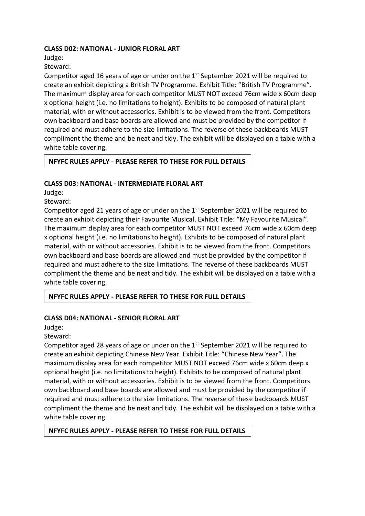#### **CLASS D02: NATIONAL - JUNIOR FLORAL ART**

Judge:

Steward:

Competitor aged 16 years of age or under on the  $1<sup>st</sup>$  September 2021 will be required to create an exhibit depicting a British TV Programme. Exhibit Title: "British TV Programme". The maximum display area for each competitor MUST NOT exceed 76cm wide x 60cm deep x optional height (i.e. no limitations to height). Exhibits to be composed of natural plant material, with or without accessories. Exhibit is to be viewed from the front. Competitors own backboard and base boards are allowed and must be provided by the competitor if required and must adhere to the size limitations. The reverse of these backboards MUST compliment the theme and be neat and tidy. The exhibit will be displayed on a table with a white table covering.

#### **NFYFC RULES APPLY - PLEASE REFER TO THESE FOR FULL DETAILS**

#### **CLASS D03: NATIONAL - INTERMEDIATE FLORAL ART**

Judge:

Steward:

Competitor aged 21 years of age or under on the  $1<sup>st</sup>$  September 2021 will be required to create an exhibit depicting their Favourite Musical. Exhibit Title: "My Favourite Musical". The maximum display area for each competitor MUST NOT exceed 76cm wide x 60cm deep x optional height (i.e. no limitations to height). Exhibits to be composed of natural plant material, with or without accessories. Exhibit is to be viewed from the front. Competitors own backboard and base boards are allowed and must be provided by the competitor if required and must adhere to the size limitations. The reverse of these backboards MUST compliment the theme and be neat and tidy. The exhibit will be displayed on a table with a white table covering.

**NFYFC RULES APPLY - PLEASE REFER TO THESE FOR FULL DETAILS**

#### **CLASS D04: NATIONAL - SENIOR FLORAL ART**

Judge:

Steward:

Competitor aged 28 years of age or under on the 1<sup>st</sup> September 2021 will be required to create an exhibit depicting Chinese New Year. Exhibit Title: "Chinese New Year". The maximum display area for each competitor MUST NOT exceed 76cm wide x 60cm deep x optional height (i.e. no limitations to height). Exhibits to be composed of natural plant material, with or without accessories. Exhibit is to be viewed from the front. Competitors own backboard and base boards are allowed and must be provided by the competitor if required and must adhere to the size limitations. The reverse of these backboards MUST compliment the theme and be neat and tidy. The exhibit will be displayed on a table with a white table covering.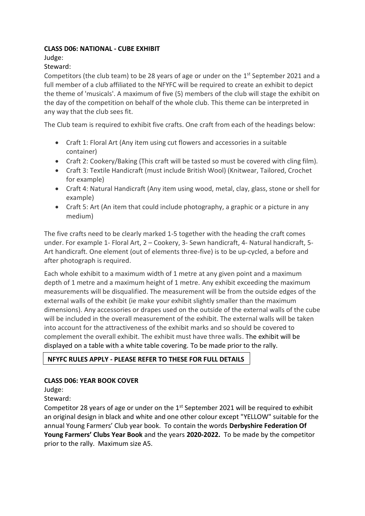#### **CLASS D06: NATIONAL - CUBE EXHIBIT**

Judge:

# Steward:

Competitors (the club team) to be 28 years of age or under on the 1<sup>st</sup> September 2021 and a full member of a club affiliated to the NFYFC will be required to create an exhibit to depict the theme of 'musicals'. A maximum of five (5) members of the club will stage the exhibit on the day of the competition on behalf of the whole club. This theme can be interpreted in any way that the club sees fit.

The Club team is required to exhibit five crafts. One craft from each of the headings below:

- Craft 1: Floral Art (Any item using cut flowers and accessories in a suitable container)
- Craft 2: Cookery/Baking (This craft will be tasted so must be covered with cling film).
- Craft 3: Textile Handicraft (must include British Wool) (Knitwear, Tailored, Crochet for example)
- Craft 4: Natural Handicraft (Any item using wood, metal, clay, glass, stone or shell for example)
- Craft 5: Art (An item that could include photography, a graphic or a picture in any medium)

The five crafts need to be clearly marked 1-5 together with the heading the craft comes under. For example 1- Floral Art, 2 – Cookery, 3- Sewn handicraft, 4- Natural handicraft, 5- Art handicraft. One element (out of elements three-five) is to be up-cycled, a before and after photograph is required.

Each whole exhibit to a maximum width of 1 metre at any given point and a maximum depth of 1 metre and a maximum height of 1 metre. Any exhibit exceeding the maximum measurements will be disqualified. The measurement will be from the outside edges of the external walls of the exhibit (ie make your exhibit slightly smaller than the maximum dimensions). Any accessories or drapes used on the outside of the external walls of the cube will be included in the overall measurement of the exhibit. The external walls will be taken into account for the attractiveness of the exhibit marks and so should be covered to complement the overall exhibit. The exhibit must have three walls. The exhibit will be displayed on a table with a white table covering. To be made prior to the rally.

# **NFYFC RULES APPLY - PLEASE REFER TO THESE FOR FULL DETAILS**

# **CLASS D06: YEAR BOOK COVER**

Judge:

Steward:

Competitor 28 years of age or under on the 1st September 2021 will be required to exhibit an original design in black and white and one other colour except "YELLOW" suitable for the annual Young Farmers' Club year book. To contain the words **Derbyshire Federation Of Young Farmers' Clubs Year Book** and the years **2020-2022.** To be made by the competitor prior to the rally. Maximum size A5.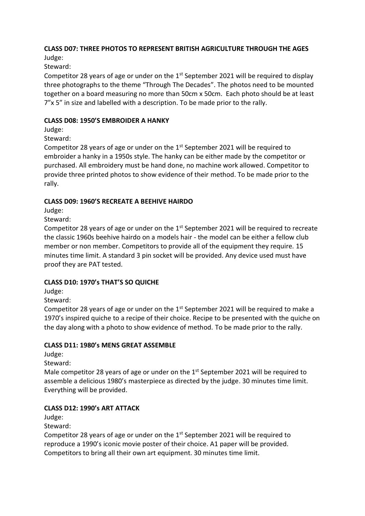# **CLASS D07: THREE PHOTOS TO REPRESENT BRITISH AGRICULTURE THROUGH THE AGES**

Judge:

Steward:

Competitor 28 years of age or under on the  $1<sup>st</sup>$  September 2021 will be required to display three photographs to the theme "Through The Decades". The photos need to be mounted together on a board measuring no more than 50cm x 50cm. Each photo should be at least 7"x 5" in size and labelled with a description. To be made prior to the rally.

# **CLASS D08: 1950'S EMBROIDER A HANKY**

Judge:

Steward:

Competitor 28 years of age or under on the  $1<sup>st</sup>$  September 2021 will be required to embroider a hanky in a 1950s style. The hanky can be either made by the competitor or purchased. All embroidery must be hand done, no machine work allowed. Competitor to provide three printed photos to show evidence of their method. To be made prior to the rally.

# **CLASS D09: 1960'S RECREATE A BEEHIVE HAIRDO**

Judge:

Steward:

Competitor 28 years of age or under on the  $1<sup>st</sup>$  September 2021 will be required to recreate the classic 1960s beehive hairdo on a models hair - the model can be either a fellow club member or non member. Competitors to provide all of the equipment they require. 15 minutes time limit. A standard 3 pin socket will be provided. Any device used must have proof they are PAT tested.

# **CLASS D10: 1970's THAT'S SO QUICHE**

Judge:

Steward:

Competitor 28 years of age or under on the  $1<sup>st</sup>$  September 2021 will be required to make a 1970's inspired quiche to a recipe of their choice. Recipe to be presented with the quiche on the day along with a photo to show evidence of method. To be made prior to the rally.

# **CLASS D11: 1980's MENS GREAT ASSEMBLE**

Judge:

Steward:

Male competitor 28 years of age or under on the  $1<sup>st</sup>$  September 2021 will be required to assemble a delicious 1980's masterpiece as directed by the judge. 30 minutes time limit. Everything will be provided.

# **CLASS D12: 1990's ART ATTACK**

Judge:

Steward:

Competitor 28 years of age or under on the 1<sup>st</sup> September 2021 will be required to reproduce a 1990's iconic movie poster of their choice. A1 paper will be provided. Competitors to bring all their own art equipment. 30 minutes time limit.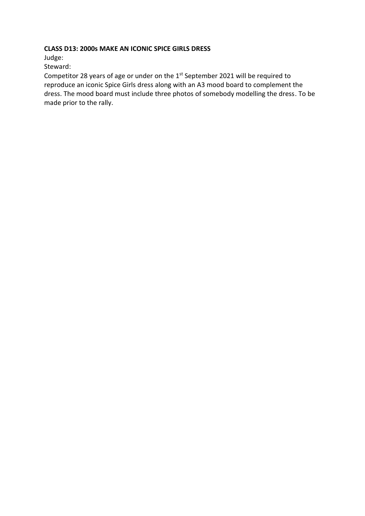#### **CLASS D13: 2000s MAKE AN ICONIC SPICE GIRLS DRESS**

Judge:

Steward:

Competitor 28 years of age or under on the 1st September 2021 will be required to reproduce an iconic Spice Girls dress along with an A3 mood board to complement the dress. The mood board must include three photos of somebody modelling the dress. To be made prior to the rally.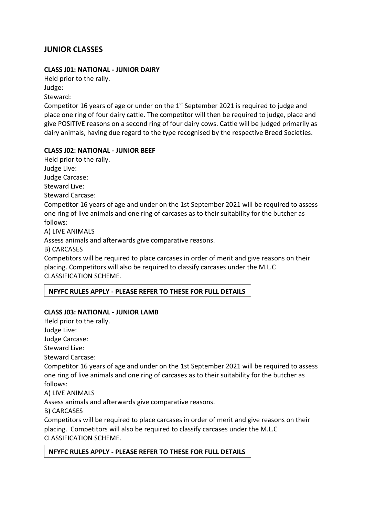# **JUNIOR CLASSES**

#### **CLASS J01: NATIONAL - JUNIOR DAIRY**

Held prior to the rally. Judge:

Steward:

Competitor 16 years of age or under on the  $1<sup>st</sup>$  September 2021 is required to judge and place one ring of four dairy cattle. The competitor will then be required to judge, place and give POSITIVE reasons on a second ring of four dairy cows. Cattle will be judged primarily as dairy animals, having due regard to the type recognised by the respective Breed Societies.

#### **CLASS J02: NATIONAL - JUNIOR BEEF**

Held prior to the rally. Judge Live: Judge Carcase: Steward Live: Steward Carcase: Competitor 16 years of age and under on the 1st September 2021 will be required to assess one ring of live animals and one ring of carcases as to their suitability for the butcher as follows: A) LIVE ANIMALS Assess animals and afterwards give comparative reasons. B) CARCASES Competitors will be required to place carcases in order of merit and give reasons on their

placing. Competitors will also be required to classify carcases under the M.L.C CLASSIFICATION SCHEME.

# **NFYFC RULES APPLY - PLEASE REFER TO THESE FOR FULL DETAILS**

#### **CLASS J03: NATIONAL - JUNIOR LAMB**

Held prior to the rally. Judge Live: Judge Carcase: Steward Live: Steward Carcase: Competitor 16 years of age and under on the 1st September 2021 will be required to assess one ring of live animals and one ring of carcases as to their suitability for the butcher as follows: A) LIVE ANIMALS Assess animals and afterwards give comparative reasons. B) CARCASES Competitors will be required to place carcases in order of merit and give reasons on their placing. Competitors will also be required to classify carcases under the M.L.C CLASSIFICATION SCHEME.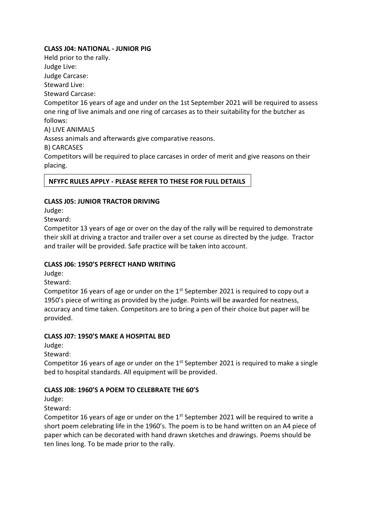#### **CLASS J04: NATIONAL - JUNIOR PIG**

Held prior to the rally. Judge Live: Judge Carcase: Steward Live: Steward Carcase: Competitor 16 years of age and under on the 1st September 2021 will be required to assess one ring of live animals and one ring of carcases as to their suitability for the butcher as follows: A) LIVE ANIMALS Assess animals and afterwards give comparative reasons. B) CARCASES Competitors will be required to place carcases in order of merit and give reasons on their placing.

# **NFYFC RULES APPLY - PLEASE REFER TO THESE FOR FULL DETAILS**

#### **CLASS J05: JUNIOR TRACTOR DRIVING**

Judge:

Steward:

Competitor 13 years of age or over on the day of the rally will be required to demonstrate their skill at driving a tractor and trailer over a set course as directed by the judge. Tractor and trailer will be provided. Safe practice will be taken into account.

#### **CLASS J06: 1950'S PERFECT HAND WRITING**

Judge:

Steward:

Competitor 16 years of age or under on the  $1<sup>st</sup>$  September 2021 is required to copy out a 1950's piece of writing as provided by the judge. Points will be awarded for neatness, accuracy and time taken. Competitors are to bring a pen of their choice but paper will be provided.

#### **CLASS J07: 1950'S MAKE A HOSPITAL BED**

Judge:

Steward:

Competitor 16 years of age or under on the 1<sup>st</sup> September 2021 is required to make a single bed to hospital standards. All equipment will be provided.

#### **CLASS J08: 1960'S A POEM TO CELEBRATE THE 60'S**

Judge:

Steward:

Competitor 16 years of age or under on the  $1<sup>st</sup>$  September 2021 will be required to write a short poem celebrating life in the 1960's. The poem is to be hand written on an A4 piece of paper which can be decorated with hand drawn sketches and drawings. Poems should be ten lines long. To be made prior to the rally.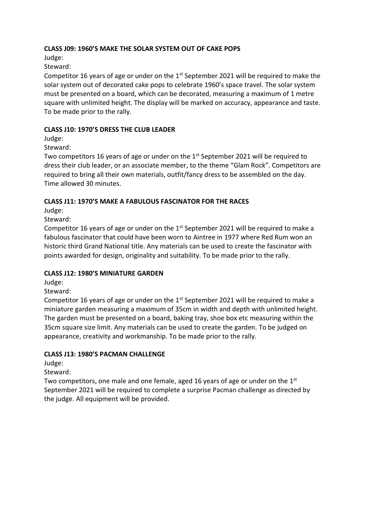#### **CLASS J09: 1960'S MAKE THE SOLAR SYSTEM OUT OF CAKE POPS**

Judge:

Steward:

Competitor 16 years of age or under on the  $1<sup>st</sup>$  September 2021 will be required to make the solar system out of decorated cake pops to celebrate 1960's space travel. The solar system must be presented on a board, which can be decorated, measuring a maximum of 1 metre square with unlimited height. The display will be marked on accuracy, appearance and taste. To be made prior to the rally.

# **CLASS J10: 1970'S DRESS THE CLUB LEADER**

Judge:

Steward:

Two competitors 16 years of age or under on the 1<sup>st</sup> September 2021 will be required to dress their club leader, or an associate member, to the theme "Glam Rock". Competitors are required to bring all their own materials, outfit/fancy dress to be assembled on the day. Time allowed 30 minutes.

# **CLASS J11: 1970'S MAKE A FABULOUS FASCINATOR FOR THE RACES**

Judge:

Steward:

Competitor 16 years of age or under on the  $1<sup>st</sup>$  September 2021 will be required to make a fabulous fascinator that could have been worn to Aintree in 1977 where Red Rum won an historic third Grand National title. Any materials can be used to create the fascinator with points awarded for design, originality and suitability. To be made prior to the rally.

# **CLASS J12: 1980'S MINIATURE GARDEN**

Judge:

Steward:

Competitor 16 years of age or under on the 1st September 2021 will be required to make a miniature garden measuring a maximum of 35cm in width and depth with unlimited height. The garden must be presented on a board, baking tray, shoe box etc measuring within the 35cm square size limit. Any materials can be used to create the garden. To be judged on appearance, creativity and workmanship. To be made prior to the rally.

# **CLASS J13: 1980'S PACMAN CHALLENGE**

Judge:

Steward:

Two competitors, one male and one female, aged 16 years of age or under on the  $1<sup>st</sup>$ September 2021 will be required to complete a surprise Pacman challenge as directed by the judge. All equipment will be provided.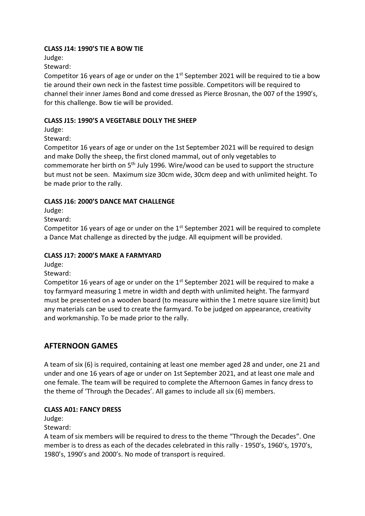#### **CLASS J14: 1990'S TIE A BOW TIE**

Judge:

Steward:

Competitor 16 years of age or under on the  $1<sup>st</sup>$  September 2021 will be required to tie a bow tie around their own neck in the fastest time possible. Competitors will be required to channel their inner James Bond and come dressed as Pierce Brosnan, the 007 of the 1990's, for this challenge. Bow tie will be provided.

#### **CLASS J15: 1990'S A VEGETABLE DOLLY THE SHEEP**

Judge:

Steward:

Competitor 16 years of age or under on the 1st September 2021 will be required to design and make Dolly the sheep, the first cloned mammal, out of only vegetables to commemorate her birth on 5th July 1996. Wire/wood can be used to support the structure but must not be seen. Maximum size 30cm wide, 30cm deep and with unlimited height. To be made prior to the rally.

#### **CLASS J16: 2000'S DANCE MAT CHALLENGE**

Judge:

Steward:

Competitor 16 years of age or under on the 1<sup>st</sup> September 2021 will be required to complete a Dance Mat challenge as directed by the judge. All equipment will be provided.

# **CLASS J17: 2000'S MAKE A FARMYARD**

Judge:

Steward:

Competitor 16 years of age or under on the 1st September 2021 will be required to make a toy farmyard measuring 1 metre in width and depth with unlimited height. The farmyard must be presented on a wooden board (to measure within the 1 metre square size limit) but any materials can be used to create the farmyard. To be judged on appearance, creativity and workmanship. To be made prior to the rally.

# **AFTERNOON GAMES**

A team of six (6) is required, containing at least one member aged 28 and under, one 21 and under and one 16 years of age or under on 1st September 2021, and at least one male and one female. The team will be required to complete the Afternoon Games in fancy dress to the theme of 'Through the Decades'. All games to include all six (6) members.

#### **CLASS A01: FANCY DRESS**

Judge:

Steward:

A team of six members will be required to dress to the theme "Through the Decades". One member is to dress as each of the decades celebrated in this rally - 1950's, 1960's, 1970's, 1980's, 1990's and 2000's. No mode of transport is required.